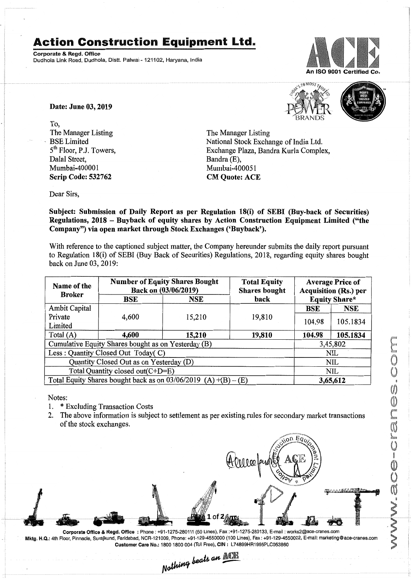## Action Construction Equipment Ltd.

Corporate & Regd.Office Dudhola Link Road, Dudhola, Distt. Palwal » 121102, Haryana, India



Date: June 03, 2019

To, The Manager Listing BSE Limited 5<sup>th</sup> Floor, P.J. Towers, Dalal Street, Mumbai~400001 Scrip Code: 532762



The Manager Listing National Stock Exchange of India Ltd. Exchange Plaza, Bandra Kurla Complex, Bandra (E), Mumbai-400051 CM Quote: ACE

Dear Sirs,

Subject: Submission of Daily Report as per Regulation 18(i) of SEBI (Buy-back of Securities) Regulations, 2018 - Buyback of equity shares by Action Construction Equipment Limited ("the Company") via open market through Stock Exchanges ('Buyback').

With reference to the captioned subject matter, the Company hereunder submits the daily report pursuant to Regulation 18(i) of SEBI (Buy Back of Securities) Regulations, 2018, regarding equity shares bought back on June 03,2019:

| Name of the<br><b>Broker</b>                                      | <b>Number of Equity Shares Bought</b><br>Back on (03/06/2019) |        | <b>Total Equity</b><br><b>Shares bought</b> | <b>Average Price of</b><br><b>Acquisition (Rs.) per</b> |            |  |
|-------------------------------------------------------------------|---------------------------------------------------------------|--------|---------------------------------------------|---------------------------------------------------------|------------|--|
|                                                                   | BSE                                                           | NSE    | back                                        | <b>Equity Share*</b>                                    |            |  |
| Ambit Capital                                                     |                                                               |        |                                             | BSE                                                     | <b>NSE</b> |  |
| Private                                                           | 4,600                                                         | 15,210 | 19,810                                      | 104.98                                                  | 105.1834   |  |
| Limited                                                           |                                                               |        |                                             |                                                         |            |  |
| Total $(A)$                                                       | 4,600                                                         | 15,210 | 19,810                                      | 104.98                                                  | 105.1834   |  |
| Cumulative Equity Shares bought as on Yesterday (B)               |                                                               |        |                                             |                                                         | 3,45,802   |  |
| Less: Quantity Closed Out Today(C)                                |                                                               |        |                                             | NIL                                                     |            |  |
| Quantity Closed Out as on Yesterday (D)                           |                                                               |        |                                             | <b>NIL</b>                                              |            |  |
| Total Quantity closed out(C+D=E)                                  |                                                               |        |                                             | <b>NIL</b>                                              |            |  |
| Total Equity Shares bought back as on 03/06/2019<br>$(A)+(B)-(E)$ |                                                               |        |                                             | 3,65,612                                                |            |  |

Notes:

- 1. \* Excluding Transaction Costs
- 2. The above information is subject to settlement as per existing rules for secondary market transactions of the stock exchanges.



Corporate Office & Regd. Office: Phone: +91-1275-280111(50 Lines), Fax:+91-1275-280133, E-mail: works2@ace-cranes.com Mktg. H.Q.: 4th Floor, Pinnacle, Surajkund, Faridabad, NCR-121009, Phone: +91-129-4550000 (100 Lines), Fax: +91-129-4550022, E-mail:marketing@ace-cranes.com Customer Care No.: 18001800004 (Toll Free), CIN: L74899HR1995PLC053860

Nothing beats an **ACE**